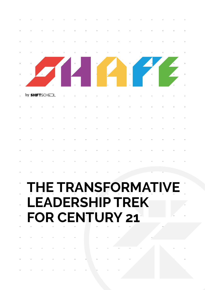

# **THE TRANSFORMATIVE LEADERSHIP TREK FOR CENTURY 21**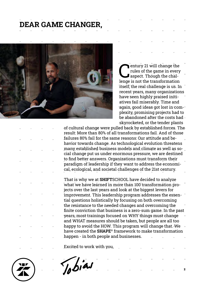### **DEAR GAME CHANGER,**



entury 21 will change the<br>rules of the game in every<br>aspect. Though the chalrules of the game in every aspect. Though the challenge is not the transformation itself; the real challenge is us. In recent years, many organizations have seen highly praised initiatives fail miserably. Time and again, good ideas got lost in complexity, promising projects had to be abandoned after the costs had skyrocketed, or the tender plants

2

of cultural change were pulled back by established forces. The result: More than 80% of all transformations fail. And of those failures 80% fail for the same reasons: Our attitude and behavior towards change. As technological evolution threatens many established business models and climate as well as social change put us under enormous pressure, we are destined to find better answers. Organizations must transform their paradigm of leadership if they want to address the economical, ecological, and societal challenges of the 21st century.

That is why we at **SHIFT**SCHOOL have decided to analyze what we have learned in more than 100 transformation projects over the last years and look at the biggest levers for improvement. This leadership program addresses the essential questions holistically by focusing on both overcoming the resistance to the needed changes and overcoming the finite conviction that business is a zero-sum game. In the past years, most trainings focused on WHY things must change and WHAT measures should be taken, but people are all too happy to avoid the HOW. This program will change that. We have created the **SHAPE**® framework to make transformation happen - in both people and businesses.

Excited to work with you,



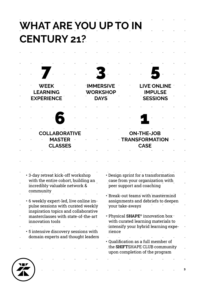| WHAT ARE YOU UP TO IN<br><b>CENTURY 21?</b>                                                               |                        |                                                                                                                                               |                           |                                  |                                                                                                                               |  |
|-----------------------------------------------------------------------------------------------------------|------------------------|-----------------------------------------------------------------------------------------------------------------------------------------------|---------------------------|----------------------------------|-------------------------------------------------------------------------------------------------------------------------------|--|
|                                                                                                           |                        |                                                                                                                                               |                           |                                  |                                                                                                                               |  |
|                                                                                                           |                        |                                                                                                                                               |                           |                                  |                                                                                                                               |  |
|                                                                                                           | <u>android Barbara</u> |                                                                                                                                               |                           |                                  |                                                                                                                               |  |
| <b>WEEK</b><br><b>LEARNING</b>                                                                            |                        | <b>IMMERSIVE</b><br><b>WORKSHOP</b>                                                                                                           |                           |                                  | <b>LIVE ONLINE</b><br><b>IMPULSE</b>                                                                                          |  |
| <b>EXPERIENCE</b>                                                                                         |                        | <b>DAYS</b>                                                                                                                                   |                           | <b>SESSIONS</b>                  |                                                                                                                               |  |
|                                                                                                           |                        | $\mathcal{C}^{\mathcal{A}}_{\mathcal{A}}$ , where $\mathcal{C}^{\mathcal{A}}_{\mathcal{A}}$ , where $\mathcal{C}^{\mathcal{A}}_{\mathcal{A}}$ |                           |                                  |                                                                                                                               |  |
|                                                                                                           |                        |                                                                                                                                               |                           |                                  |                                                                                                                               |  |
| <b>COLLABORATIVE</b><br><b>MASTER</b><br><b>CLASSES</b>                                                   |                        |                                                                                                                                               |                           | <b>ON-THE-JOB</b><br><b>CASE</b> | <b>TRANSFORMATION</b>                                                                                                         |  |
|                                                                                                           |                        |                                                                                                                                               |                           |                                  |                                                                                                                               |  |
|                                                                                                           |                        |                                                                                                                                               |                           |                                  |                                                                                                                               |  |
| • 3-day retreat kick-off workshop<br>with the entire cohort, building an<br>incredibly valuable network & |                        |                                                                                                                                               | peer support and coaching |                                  | • Design sprint for a transformation<br>case from your organization with                                                      |  |
| community<br>• 6 weekly expert-led, live online im-                                                       |                        |                                                                                                                                               |                           |                                  | • Break-out teams with mastermind<br>assignments and debriefs to deepen                                                       |  |
| pulse sessions with curated weekly<br>inspiration topics and collaborative                                |                        |                                                                                                                                               | 'your take-aways'         |                                  |                                                                                                                               |  |
| masterclasses with state-of-the-art<br>innovation tools                                                   |                        |                                                                                                                                               |                           |                                  | • Physical SHAPE <sup>®</sup> innovation box +<br>with curated learning materials to<br>-intensify your hybrid learning expe- |  |
| • 5 intensive discovery sessions with<br>domain experts and thought leaders                               |                        | rience                                                                                                                                        |                           |                                  |                                                                                                                               |  |
|                                                                                                           |                        |                                                                                                                                               |                           |                                  | • Qualification as a full member of<br>the SHIFTSHAPE CLUB community<br>upon completion of the program                        |  |
|                                                                                                           |                        |                                                                                                                                               |                           |                                  |                                                                                                                               |  |
|                                                                                                           |                        |                                                                                                                                               |                           |                                  |                                                                                                                               |  |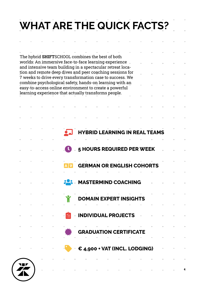# **WHAT ARE THE QUICK FACTS?**

|  |  |                                                 |                                                                                                                                                                                      |  |                         |                                              | and the control of |                 |
|--|--|-------------------------------------------------|--------------------------------------------------------------------------------------------------------------------------------------------------------------------------------------|--|-------------------------|----------------------------------------------|--------------------|-----------------|
|  |  |                                                 | $\epsilon_{4,900}$ + VAT (INCL. LODGING)                                                                                                                                             |  |                         |                                              |                    | $\sim 10^{-10}$ |
|  |  | the control of the control of<br>Report Follows | <b>GRADUATION CERTIFICATE</b>                                                                                                                                                        |  | and the contract of the | the contract of the contract of the contract |                    | $\sim$          |
|  |  |                                                 | <u> 1990 - INDIVIDUAL PROJECTS de la compa</u>                                                                                                                                       |  |                         |                                              |                    |                 |
|  |  |                                                 | <b>DOMAIN EXPERT INSIGHTS</b><br>the contract of the contract of the contract of the contract of the contract of the contract of the contract of                                     |  |                         |                                              |                    |                 |
|  |  |                                                 | <b>POS MASTERMIND COACHING</b>                                                                                                                                                       |  |                         |                                              |                    |                 |
|  |  |                                                 | <b>GERMAN OR ENGLISH COHORTS</b>                                                                                                                                                     |  |                         |                                              |                    |                 |
|  |  |                                                 |                                                                                                                                                                                      |  |                         |                                              |                    |                 |
|  |  |                                                 | 5 HOURS REQUIRED PER WEEK                                                                                                                                                            |  |                         |                                              |                    |                 |
|  |  |                                                 | <b>HYBRID LEARNING IN REAL TEAMS</b>                                                                                                                                                 |  |                         |                                              |                    |                 |
|  |  |                                                 |                                                                                                                                                                                      |  |                         |                                              |                    |                 |
|  |  |                                                 |                                                                                                                                                                                      |  |                         |                                              |                    |                 |
|  |  |                                                 | combine psychological safety, hands-on learning with an<br>easy-to-access online environment to create a powerful<br>learning experience that actually transforms people.            |  |                         |                                              |                    |                 |
|  |  |                                                 | and intensive team building in a spectacular retreat loca-<br>tion and remote deep dives and peer coaching sessions for<br>7 weeks to drive every transformation case to success. We |  |                         |                                              |                    |                 |
|  |  |                                                 | The hybrid SHIFTSCHOOL combines the best of both<br>worlds: An immersive face-to-face learning experience.                                                                           |  |                         |                                              |                    |                 |
|  |  |                                                 |                                                                                                                                                                                      |  |                         |                                              |                    |                 |

 $\overline{a}$   $\overline{a}$   $\overline{a}$   $\overline{a}$   $\overline{a}$   $\overline{a}$   $\overline{a}$   $\overline{a}$   $\overline{a}$   $\overline{a}$   $\overline{a}$   $\overline{a}$   $\overline{a}$   $\overline{a}$   $\overline{a}$   $\overline{a}$   $\overline{a}$   $\overline{a}$   $\overline{a}$   $\overline{a}$   $\overline{a}$   $\overline{a}$   $\overline{a}$   $\overline{a}$   $\overline{$ 

and the contract of

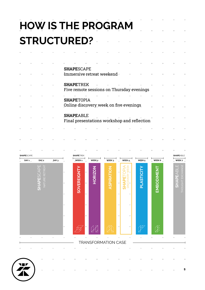|  |  | <b>HOW IS THE PROGRAM</b>                                       |  |  |
|--|--|-----------------------------------------------------------------|--|--|
|  |  | <b>STRUCTURED? -</b><br><b>Contract Contract</b>                |  |  |
|  |  |                                                                 |  |  |
|  |  | <b>SHAPESCAPE</b>                                               |  |  |
|  |  | Immersive retreat weekend -                                     |  |  |
|  |  | <b>SHAPETREK</b><br>Five remote sessions on Thursday evenings   |  |  |
|  |  | <b>SHAPETOPIA</b>                                               |  |  |
|  |  | Online discovery week on five evenings                          |  |  |
|  |  | <b>SHAPEABLE</b><br>Final presentations workshop and reflection |  |  |

 $\alpha$ 

 $\bar{a}$ 



 $\bar{a}$ 

 $\bar{a}$ 

 $\bar{a}$ 

 $\bar{\alpha}$ 

 $\bar{1}$ 

ä

5

 $\bar{\bar{a}}$ 

Î,

'n

 $\alpha$ 

W

í,

Î,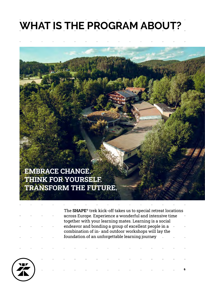### **WHAT IS THE PROGRAM ABOUT?**

### **EMBRACE CHANGE. THINK FOR YOURSELF. TRANSFORM THE FUTURE.**

The **SHAPE**® trek kick-off takes us to special retreat locations across Europe. Experience a wonderful and intensive time together with your learning mates. Learning is a social endeavor and bonding a group of excellent people in a combination of in- and outdoor workshops will lay the foundation of an unforgettable learning journey

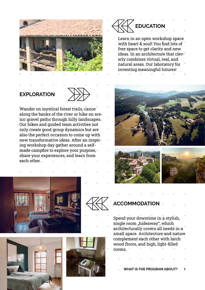

### **EXPLORATION**



Wander on mystical forest trails, canoe along the banks of the river or hike on scenic gravel paths through hilly landscapes. Our hikes and guided team activities not only create good group dynamics but are also the perfect occasion to come up with new transformative ideas. After an inspiring workshop day gather around a selfmade campfire to explore your purpose, share your experiences, and learn from each other.









Learn in an open workshop space with heart & soul! You find lots of free space to get clarity and new ideas. In an architecture that cleverly combines virtual, real, and natural areas. Our laboratory for inventing meaningful futures!







### **ACCOMMODATION**

Spend your downtime in a stylish, single room "hideaway", which architecturally covers all needs in a small space. Architecture and nature complement each other with larch wood floors, and high, light-filled rooms.

**WHAT IS THE PROGRAM ABOUT?** 7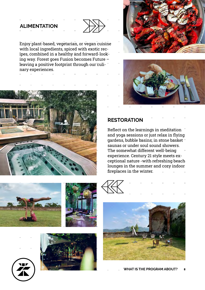#### **ALIMENTATION**



Enjoy plant-based, vegetarian, or vegan cuisine with local ingredients, spiced with exotic recipes, combined in a healthy and forward-looking way. Forest goes Fusion becomes Future – leaving a positive footprint through our culinary experiences.







#### **RESTORATION**

Reflect on the learnings in meditation and yoga sessions or just relax in flying gardens, bubble basins, in stone basket saunas or under soul sound showers. The somewhat different well-being experience. Century 21 style meets exceptional nature -with refreshing beach lounges in the summer and cozy indoor fireplaces in the winter.









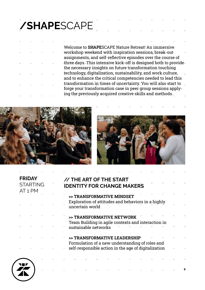### **/SHAPE**SCAPE

Welcome to **SHAPE**SCAPE Nature Retreat! An immersive workshop weekend with inspiration sessions, break-out assignments, and self-reflective episodes over the course of three days. This intensive kick-off is designed both to provide the necessary insights on future transformation touching technology, digitalization, sustainability, and work culture, and to enhance the critical competencies needed to lead this transformation in times of uncertainty. You will also start to forge your transformation case in peer group sessions applying the previously acquired creative skills and methods.





9

#### **// THE ART OF THE START IDENTITY FOR CHANGE MAKERS**

- **>> TRANSFORMATIVE MINDSET** Exploration of attitudes and behaviors in a highly uncertain world
- **>> TRANSFORMATIVE NETWORK** Team Building in agile contexts and interaction in sustainable networks
- **>> TRANSFORMATIVE LEADERSHIP** Formulation of a new understanding of roles and self-responsible action in the age of digitalization



**FRIDAY STARTING** 

AT 1 PM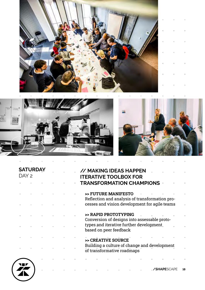





| DAY 2 | <b>SATURDA</b> |  |  | // MAKING IDEAS HAPPEN<br><b>ITERATIVE TOOLBOX FOR</b>                     |  |
|-------|----------------|--|--|----------------------------------------------------------------------------|--|
|       |                |  |  | <b>TRANSFORMATION CHAMPIONS +</b>                                          |  |
|       |                |  |  | >> FUTURE MANIFESTO<br>Reflection and analysis of transformation pro-      |  |
|       |                |  |  | cesses and vision development for agile teams                              |  |
|       |                |  |  | >> RAPID PROTOTYPING<br>Conversion of designs into assessable proto-       |  |
|       |                |  |  | types and iterative further development<br>based on peer feedback          |  |
|       |                |  |  | >> CREATIVE SOURCE                                                         |  |
|       |                |  |  | Building a culture of change and development<br>of transformative roadmaps |  |
|       |                |  |  |                                                                            |  |

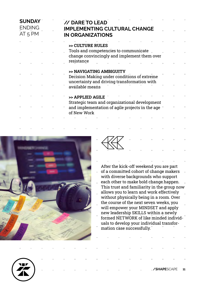| AT <sub>5</sub> PM | <b>SUNDAY</b><br><b>ENDING</b> |  | // DARE TO LEAD<br><b>IMPLEMENTING CULTURAL CHANGE</b><br><b>IN ORGANIZATIONS</b>    |  |
|--------------------|--------------------------------|--|--------------------------------------------------------------------------------------|--|
|                    |                                |  | >> CULTURE RULES                                                                     |  |
|                    |                                |  | Tools and competencies to communicate<br>change convincingly and implement them over |  |
|                    |                                |  | resistance                                                                           |  |
|                    |                                |  | >> NAVIGATING AMBIGUITY<br>Decision Making under conditions of extreme               |  |
|                    |                                |  | uncertainty and driving transformation with<br>available means                       |  |
|                    |                                |  | >> APPLIED AGILE<br>Strategic team and organizational development                    |  |
|                    |                                |  | and implementation of agile projects in the age<br>of New Work                       |  |
|                    |                                |  |                                                                                      |  |



After the kick-off weekend you are part of a committed cohort of change makers i, with diverse backgrounds who support each other to make bold change happen. This trust and familiarity in the group now allows you to learn and work effectively without physically being in a room. Over the course of the next seven weeks, you will empower your MINDSET and apply new leadership SKILLS within a newly formed NETWORK of like minded individuals to develop your individual transformation case successfully.



11 **/SHAPE**SCAPE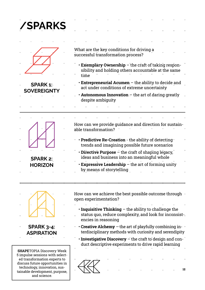| /SPARKS                                |  |      |                       |                                    |                                             |                                                                                                         |                                                                                                            |  |
|----------------------------------------|--|------|-----------------------|------------------------------------|---------------------------------------------|---------------------------------------------------------------------------------------------------------|------------------------------------------------------------------------------------------------------------|--|
|                                        |  |      |                       |                                    |                                             |                                                                                                         |                                                                                                            |  |
|                                        |  |      |                       |                                    |                                             |                                                                                                         |                                                                                                            |  |
|                                        |  |      |                       | successful transformation process? | What are the key conditions for driving a   |                                                                                                         |                                                                                                            |  |
|                                        |  | time |                       |                                    |                                             |                                                                                                         | • Exemplary Ownership – the craft of taking respon-<br>sibility and holding others accountable at the same |  |
| <b>SPARK 1:-</b><br><b>SOVEREIGNTY</b> |  |      |                       |                                    | act under conditions of extreme uncertainty |                                                                                                         | • Entrepreneurial Acumen – the ability to decide and                                                       |  |
|                                        |  |      | despite ambiguity     |                                    |                                             |                                                                                                         | • Autonomous Innovation $-$ the art of daring greatly                                                      |  |
|                                        |  |      |                       |                                    |                                             |                                                                                                         |                                                                                                            |  |
|                                        |  |      |                       |                                    |                                             |                                                                                                         |                                                                                                            |  |
|                                        |  |      | able transformation?  |                                    |                                             |                                                                                                         | How can we provide quidance and direction for sustain-                                                     |  |
|                                        |  |      |                       |                                    |                                             | • Predictive Re-Creation - the ability of detecting ·<br>trends and imagining possible future scenarios |                                                                                                            |  |
| <b>SPARK 2:</b>                        |  |      |                       |                                    |                                             | • Directive Purpose – the craft of shaping legacy,<br>ideas and business into an meaningful whole       |                                                                                                            |  |
| <b>HORIZON</b>                         |  |      |                       | by means of storytelling           |                                             | <b>Expressive Leadership</b> $-$ the art of forming unity                                               |                                                                                                            |  |
|                                        |  |      | open experimentation? |                                    |                                             |                                                                                                         | How can we achieve the best possible outcome through -                                                     |  |

- **Inquisitive Thinking** the ability to challenge the status quo, reduce complexity, and look for inconsist- $\mathcal{L}^{\text{max}}$ encies in reasoning
- **Creative Alchemy**  the art of playfully combining interdisciplinary methods with curiosity and serendipity
	- • **Investigative Discovery** the craft to design and conduct descriptive experiments to drive rapid learning



**SPARK 3-4: ASPIRATION**

**SHAPE**TOPIA Discovery Week 5 impulse sessions with selected transformation experts to discuss future opportunities in technology, innovation, sustainable development, purpose, and science.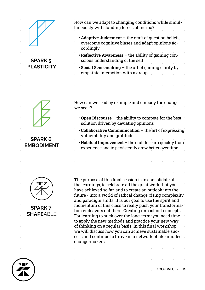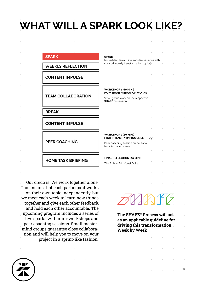# **WHAT WILL A SPARK LOOK LIKE?**

|  | <b>SPARK</b>                    |
|--|---------------------------------|
|  | <b>WEEKLY REFLECTION</b>        |
|  | <b>CONTENT IMPULSE</b>          |
|  |                                 |
|  | <b>TEAM COLLABORATION</b>       |
|  |                                 |
|  | <b>BREAK</b>                    |
|  | <b>CONTENT IMPULSE</b>          |
|  |                                 |
|  | PEER COACHING                   |
|  | m<br>ш<br>ш<br>ш                |
|  | <b>HOME TASK BRIEFING</b><br>m. |

Our credo is: We work together alone! This means that each participant works on their own topic independently, but J. we meet each week to learn new things together and give each other feedback and hold each other accountable. The upcoming program includes a series of live sparks with mini-workshops and peer coaching sessions. Small mastermind groups guarantee close collaboration and will help you to move on your project in a sprint-like fashion.

| <b>SPARK</b>                                                   |    |              |                                                |  |   |
|----------------------------------------------------------------|----|--------------|------------------------------------------------|--|---|
| curated weekly transformation topics]                          |    |              | lexpert-led, live online impulse sessions with |  |   |
|                                                                |    |              |                                                |  |   |
|                                                                |    |              |                                                |  |   |
|                                                                |    |              |                                                |  |   |
|                                                                |    |              |                                                |  |   |
|                                                                |    |              |                                                |  |   |
| <b>WORKSHOP 1 (60 MIN.)</b><br><b>HOW TRANSFORMATION WORKS</b> |    |              |                                                |  |   |
| Small group work on the respective                             |    |              |                                                |  |   |
| <b>SHAPE</b> dimension                                         |    |              |                                                |  |   |
|                                                                |    |              |                                                |  |   |
|                                                                |    |              |                                                |  |   |
|                                                                |    |              |                                                |  |   |
|                                                                |    |              |                                                |  |   |
|                                                                |    |              |                                                |  |   |
|                                                                |    |              |                                                |  |   |
| <b>WORKSHOP 2 (60 MIN.)</b>                                    |    |              |                                                |  |   |
| HIGH INTENSITY IMPROVEMENT HOUR                                |    |              |                                                |  |   |
| Peer coaching session on personal<br>transformation cases      |    |              |                                                |  |   |
| m.                                                             | i. |              |                                                |  |   |
|                                                                |    |              |                                                |  |   |
|                                                                |    |              |                                                |  |   |
| <b>FINAL REFLECTION (20 MIN)</b>                               |    |              |                                                |  |   |
| The Subtle Art of Just Doing it                                |    |              |                                                |  |   |
|                                                                |    |              |                                                |  |   |
|                                                                |    |              | m.                                             |  |   |
|                                                                |    |              |                                                |  |   |
|                                                                |    |              |                                                |  |   |
|                                                                |    |              |                                                |  |   |
|                                                                |    |              |                                                |  |   |
|                                                                |    |              |                                                |  |   |
|                                                                |    |              |                                                |  |   |
|                                                                |    |              | MAN A                                          |  |   |
|                                                                |    |              |                                                |  |   |
|                                                                |    |              | The SHAPE <sup>®</sup> Process will act        |  |   |
|                                                                |    |              | as an applicable guideline for                 |  |   |
|                                                                |    |              | driving this transformation.                   |  |   |
|                                                                |    | Week by Week |                                                |  |   |
|                                                                |    |              |                                                |  |   |
|                                                                |    |              |                                                |  |   |
|                                                                |    |              |                                                |  |   |
| ш                                                              |    |              |                                                |  | ш |
|                                                                |    |              |                                                |  |   |

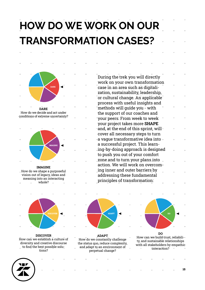## **HOW DO WE WORK ON OUR TRANSFORMATION CASES?**



**DARE** How do we decide and act under conditions of extreme uncertainty?



**IMAGINE** How do we shape a purposeful vision out of legacy, ideas and meaning into an interacting whole?



**DISCOVER** How can we establish a culture of diversity and creative discourse to find the best possible solutions?



**ADAPT** How do we constantly challenge the status quo, reduce complexity, and adapt to an environment of perpetual change?



How can we build trust, reliability, and sustainable relationships with all stakeholders by empathic interaction?



15

case in an area such as digitalization, sustainability, leadership, or cultural change. An applicable process with useful insights and methods will guide you - with the support of our coaches and your peers. From week to week your project takes more **SHAPE** and, at the end of this sprint, will cover all necessary steps to turn a vague transformative idea into a successful project. This learning-by-doing approach is designed to push you out of your comfort zone and to turn your plans into action. We will work on overcoming inner and outer barriers by addressing these fundamental principles of transformation:

During the trek you will directly work on your own transformation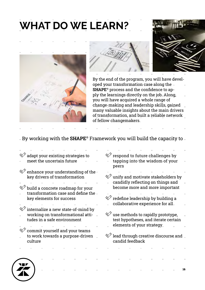## **WHAT DO WE LEARN?**







16

By the end of the program, you will have developed your transformation case along the **SHAPE**® process and the confidence to apply the learnings directly on the job. Along, you will have acquired a whole range of change-making and leadership skills, gained many valuable insights about the main drivers of transformation, and built a reliable network of fellow changemakers.

By working with the **SHAPE**® Framework you will build the capacity to

| adapt your existing strategies to    | respond to future challenges by                          |
|--------------------------------------|----------------------------------------------------------|
| meet the uncertain future            | tapping into the wisdom of your<br>peers                 |
| enhance your understanding of the -  |                                                          |
| key drivers of transformation        | unify and motivate stakeholders by                       |
|                                      | candidly reflecting on things and                        |
| build a concrete roadmap for your    | become more and more important                           |
| transformation case and define the - |                                                          |
| key elements for success             | redefine leadership by building a                        |
|                                      | collaborative experience for all.                        |
| internalize a new state-of-mind by   |                                                          |
| working on transformational atti-    | $\mathcal{P}$ use methods to rapidly prototype,          |
| tudes in a safe environment          | test hypotheses, and iterate certain                     |
|                                      | elements of your strategy.                               |
| commit yourself and your teams       |                                                          |
| to work towards a purpose-driven     | $\mathcal{U}$ lead through creative discourse and $\Box$ |
| culture                              | candid feedback                                          |
|                                      |                                                          |
|                                      |                                                          |
|                                      |                                                          |
|                                      |                                                          |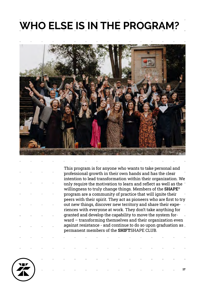### **WHO ELSE IS IN THE PROGRAM?**



This program is for anyone who wants to take personal and professional growth in their own hands and has the clear intention to lead transformation within their organization. We only require the motivation to learn and reflect as well as the willingness to truly change things. Members of the **SHAPE**® program are a community of practice that will ignite their peers with their spirit. They act as pioneers who are first to try out new things, discover new territory and share their experiences with everyone at work. They don't take anything for granted and develop the capability to move the system forward – transforming themselves and their organization even against resistance - and continue to do so upon graduation as permanent members of the **SHIFT**SHAPE CLUB.

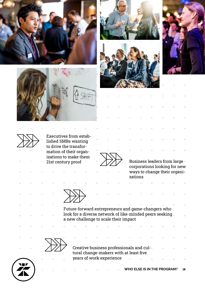











Executives from established SMBs wanting to drive the transformation of their organizations to make them 21st century proof

Business leaders from large corporations looking for new ways to change their organizations



Future-forward entrepreneurs and game-changers who look for a diverse network of like-minded peers seeking a new challenge to scale their impact



Creative business professionals and cultural change-makers with at least five years of work experience J.

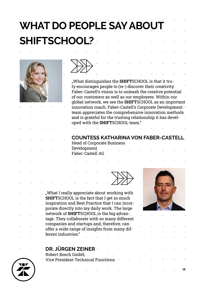# **WHAT DO PEOPLE SAY ABOUT SHIFTSCHOOL?**





"What distinguishes the **SHIFT**SCHOOL is that it truly encourages people to (re-) discover their creativity. Faber-Castell's vision is to unleash the creative potential of our customers as well as our employees. Within our global network, we see the **SHIFT**SCHOOL as an important innovation coach. Faber-Castell's Corporate Development team appreciates the comprehensive innovation methods and is grateful for the trusting relationship it has developed with the **SHIFT**SCHOOL team."

#### **COUNTESS KATHARINA VON FABER-CASTELL**

Head of Corporate Business Development Faber-Castell AG





19

"What I really appreciate about working with **SHIFT**SCHOOL is the fact that I get so much inspiration and Best Practice that I can incorporate directly into my daily work. The large network of **SHIFT**SCHOOL is the big advantage. They collaborate with so many different companies and startups and, therefore, can offer a wide range of insights from many different industries."

#### **DR. JÜRGEN ZEINER**

Robert Bosch GmbH, Vice President Technical Functions

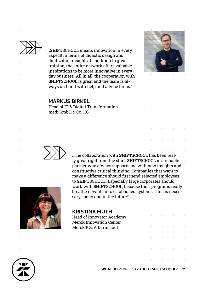"**SHIFT**SCHOOL means innovation in every aspect! In terms of didactic design and digitization insights. In addition to great training, the entire network offers valuable inspirations to be more innovative in everyday business. All in all, the cooperation with **SHIFT**SCHOOL is great and the team is always on hand with help and advice for us."



#### **MARKUS BIRKEL**

Head of IT & Digital Transformation medi GmbH & Co. KG



ly great right from the start. **SHIFT**SCHOOL is a reliable partner who always supports me with new insights and constructive critical thinking. Companies that want to make a difference should first send selected employees to **SHIFT**SCHOOL. Especially large corporates should work with **SHIFT**SCHOOL, because their programs really breathe new life into established systems. This is necessary, today and in the future!"

"The collaboration with **SHIFT**SCHOOL has been real-



|                                |  | <b>KRISTINA MUTH</b> |  |                                                                                                                 |  |                                              |                                                 |  |
|--------------------------------|--|----------------------|--|-----------------------------------------------------------------------------------------------------------------|--|----------------------------------------------|-------------------------------------------------|--|
| Head of Innovator Academy      |  |                      |  |                                                                                                                 |  |                                              | the contract of the contract of the contract of |  |
| <b>Merck Innovation Center</b> |  |                      |  |                                                                                                                 |  |                                              |                                                 |  |
| Merck KGaA Darmstadt           |  |                      |  |                                                                                                                 |  | the control of the control of the control of |                                                 |  |
|                                |  |                      |  |                                                                                                                 |  |                                              |                                                 |  |
| m.                             |  |                      |  | the contract of the contract of the contract of the contract of the contract of the contract of the contract of |  |                                              |                                                 |  |

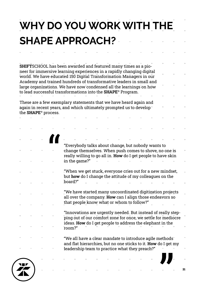## **WHY DO YOU WORK WITH THE SHAPE APPROACH?**

**SHIFT**SCHOOL has been awarded and featured many times as a pioneer for immersive learning experiences in a rapidly changing digital world. We have educated 150 Digital Transformation Managers in our Academy and trained hundreds of transformative leaders in small and large organizations. We have now condensed all the learnings on how to lead successful transformations into the **SHAPE**® Program.

These are a few exemplary statements that we have heard again and again in recent years, and which ultimately prompted us to develop " the **SHAPE**® process.

"

"Everybody talks about change, but nobody wants to change themselves. When push comes to shove, no one is really willing to go all in. **How** do I get people to have skin in the game?"

"When we get stuck, everyone cries out for a new mindset, but **how** do I change the attitude of my colleagues on the board?"

"We have started many uncoordinated digitization projects all over the company. **How** can I align those endeavors so that people know what or whom to follow?"

"Innovations are urgently needed. But instead of really stepping out of our comfort zone for once, we settle for mediocre ideas. **How** do I get people to address the elephant in the room?"

"We all have a clear mandate to introduce agile methods and flat hierarchies, but no one sticks to it. **How** do I get my leadership team to practice what they preach?"



21

"<br>"<br>"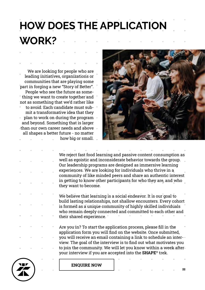# **HOW DOES THE APPLICATION WORK?**

We are looking for people who are leading initiatives, organizations or communities that are playing some part in forging a new "Story of Better". People who see the future as something we want to create together and not as something that we'd rather like to avoid. Each candidate must submit a transformative idea that they plan to work on during the program and beyond. Something that is larger

than our own career needs and above all shapes a better future - no matter  $\mathbb{R}^2$ how big or small.



We reject fast food learning and passive content consumption as well as egoistic and inconsiderate behavior towards the group. Our leadership programs are designed as immersive learning experiences. We are looking for individuals who thrive in a community of like minded peers and share an authentic interest in getting to know other participants for who they are, and who they want to become.

We believe that learning is a social endeavor. It is our goal to build lasting relationships, not shallow encounters. Every cohort is formed as a unique community of highly skilled individuals who remain deeply connected and committed to each other and their shared experience.

Are you in? To start the application process, please fill in the application form you will find on the website. Once submitted, you will receive an email containing a link to schedule an interview. The goal of the interview is to find out what motivates you to join the community. We will let you know within a week after your interview if you are accepted into the **SHAPE**® trek.



**ENQUIRE NOW**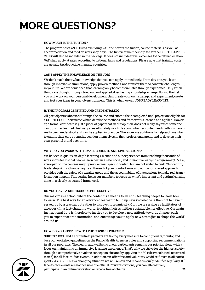# **MORE QUESTIONS?**

|  | The program costs 4,900 Euros excluding VAT and covers the tuition, course materials as well as<br>accommodation and food on workshop days. The first year membership fee for the SHIFTSHAPE<br>CLUB will also be included in the package. It does not include travel expenses to the retreat location.                                                                                                                                                                                                                             |
|--|-------------------------------------------------------------------------------------------------------------------------------------------------------------------------------------------------------------------------------------------------------------------------------------------------------------------------------------------------------------------------------------------------------------------------------------------------------------------------------------------------------------------------------------|
|  | VAT shall apply at rates according to national laws and regulations. Please note that training costs<br>are usually tax deductible in many countries.                                                                                                                                                                                                                                                                                                                                                                               |
|  | CAN I APPLY THE KNOWLEDGE ON THE JOB?                                                                                                                                                                                                                                                                                                                                                                                                                                                                                               |
|  | We don't teach theory, but knowledge that you can apply immediately. From day one, you learn                                                                                                                                                                                                                                                                                                                                                                                                                                        |
|  | through innovative simulations, apply proven methods, and transfer them to concrete challenges<br>in your life. We are convinced that learning only becomes valuable through experience. Only when<br>things are thought through, tried out and applied, does lasting knowledge emerge. During the trek                                                                                                                                                                                                                             |
|  | " you will work on your personal development plan, create your own strategy, and experiment, create, "<br>and test your ideas in your job environment. This is what we call JOB READY LEARNING.                                                                                                                                                                                                                                                                                                                                     |
|  | IS THE PROGRAM CERTIFIED AND CREDENTIALED?                                                                                                                                                                                                                                                                                                                                                                                                                                                                                          |
|  | All participants who work through the course and submit their completed final project are eligible for                                                                                                                                                                                                                                                                                                                                                                                                                              |
|  | a SHIFTSCHOOL certificate which details the methods and frameworks learned and applied. Howev-<br>er, a formal certificate is just a piece of paper that, in our opinion, does not really say what someone                                                                                                                                                                                                                                                                                                                          |
|  | - can do or has learned. Just as grades ultimately say little about whether content and methods have<br>really been understood and can be applied in practice. Therefore, we additionally help each member<br>to outline their core strengths, position themselves in their professional arena, and to develop their                                                                                                                                                                                                                |
|  | own personal brand over time.                                                                                                                                                                                                                                                                                                                                                                                                                                                                                                       |
|  | WHY DO YOU WORK WITH SMALL COHORTS AND LIVE SESSIONS?                                                                                                                                                                                                                                                                                                                                                                                                                                                                               |
|  | We believe in quality, in-depth learning. Science and our experiences from teaching thousands of<br>workshops tell us that people learn best in a safe, social, and interactive learning environment. Mas-<br>sive open online courses might provide great specific content but are not suited to build 21st century<br>leadership skills. Change begins at the end of your comfort zone and our cohort-based approach                                                                                                              |
|  | " provides both the safety of a smaller group and the accountability of live sessions to make real trans-"<br>formation happen. This setting helps our members to focus on what's important and getting learning<br>done in a clearly structured framework.                                                                                                                                                                                                                                                                         |
|  |                                                                                                                                                                                                                                                                                                                                                                                                                                                                                                                                     |
|  | DO YOU HAVE A SHIFTSCHOOL PHILOSOPHY?                                                                                                                                                                                                                                                                                                                                                                                                                                                                                               |
|  | Our maxim is a school where the content is a means to an end - teaching people to learn how<br>to learn. The best way for an advanced learner to build up new knowledge is then not to have it                                                                                                                                                                                                                                                                                                                                      |
|  | $\overline{\phantom{a}}$ served up by a teacher, but rather to discover it organically. Our role is serving as facilitators of $\overline{\phantom{a}}$<br>discovery. In a fast-changing world, teaching facts is neither sustainable nor effective. Our main<br>instructional duty is therefore to inspire you to develop a new attitude towards change, push                                                                                                                                                                      |
|  | you to experience transformation, and encourage you to apply new strategies to shape the world "<br>around us.                                                                                                                                                                                                                                                                                                                                                                                                                      |
|  |                                                                                                                                                                                                                                                                                                                                                                                                                                                                                                                                     |
|  | HOW DO YOU KEEP UP WITH THE COVID-19 POLICIES?                                                                                                                                                                                                                                                                                                                                                                                                                                                                                      |
|  | SHIFTSCHOOL and all our retreat partners are taking every measure to continuously monitor and<br>base our workshop guidelines on the Public Health Agencies rules and supporting recommendations<br>in all our programs. The health and wellbeing of our participants remains our priority, along with a                                                                                                                                                                                                                            |
|  | " focus on maintaining an immersive learning experience. That's why we strive for the highest safety<br>through a comprehensive hygiene concept on site and by applying the 3G rule (vaccinated, recovered,<br>tested) for all face-to-face events. In addition, we offer free and voluntary Covid self-tests to all partic-<br>ipants. As COVID-19 is a changing situation we will renew and reconfirm our guidelines regularly. If<br>face-to-face events are not possible due official Covid restrictions, you can alternatively |



participate in an online workshop or rebook free of charge. 23  $\mathcal{M}^{\rm{max}}$  $\sim$  $\mathbb{R}^+$